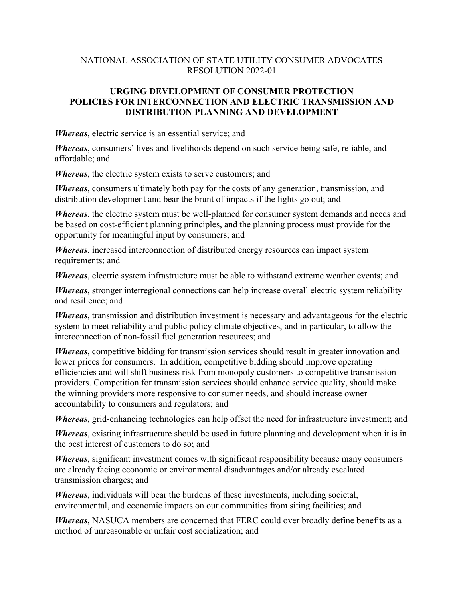## NATIONAL ASSOCIATION OF STATE UTILITY CONSUMER ADVOCATES RESOLUTION 2022-01

## **URGING DEVELOPMENT OF CONSUMER PROTECTION POLICIES FOR INTERCONNECTION AND ELECTRIC TRANSMISSION AND DISTRIBUTION PLANNING AND DEVELOPMENT**

*Whereas*, electric service is an essential service; and

*Whereas*, consumers' lives and livelihoods depend on such service being safe, reliable, and affordable; and

*Whereas*, the electric system exists to serve customers; and

*Whereas*, consumers ultimately both pay for the costs of any generation, transmission, and distribution development and bear the brunt of impacts if the lights go out; and

*Whereas*, the electric system must be well-planned for consumer system demands and needs and be based on cost-efficient planning principles, and the planning process must provide for the opportunity for meaningful input by consumers; and

*Whereas*, increased interconnection of distributed energy resources can impact system requirements; and

*Whereas*, electric system infrastructure must be able to withstand extreme weather events; and

*Whereas*, stronger interregional connections can help increase overall electric system reliability and resilience; and

*Whereas*, transmission and distribution investment is necessary and advantageous for the electric system to meet reliability and public policy climate objectives, and in particular, to allow the interconnection of non-fossil fuel generation resources; and

*Whereas*, competitive bidding for transmission services should result in greater innovation and lower prices for consumers. In addition, competitive bidding should improve operating efficiencies and will shift business risk from monopoly customers to competitive transmission providers. Competition for transmission services should enhance service quality, should make the winning providers more responsive to consumer needs, and should increase owner accountability to consumers and regulators; and

*Whereas*, grid-enhancing technologies can help offset the need for infrastructure investment; and

*Whereas*, existing infrastructure should be used in future planning and development when it is in the best interest of customers to do so; and

*Whereas*, significant investment comes with significant responsibility because many consumers are already facing economic or environmental disadvantages and/or already escalated transmission charges; and

*Whereas*, individuals will bear the burdens of these investments, including societal, environmental, and economic impacts on our communities from siting facilities; and

*Whereas*, NASUCA members are concerned that FERC could over broadly define benefits as a method of unreasonable or unfair cost socialization; and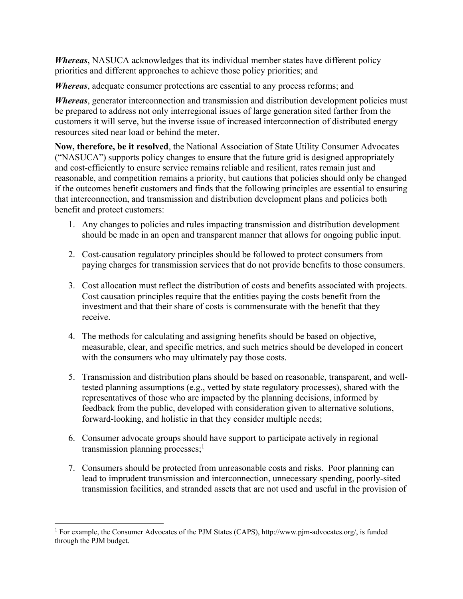*Whereas*, NASUCA acknowledges that its individual member states have different policy priorities and different approaches to achieve those policy priorities; and

*Whereas*, adequate consumer protections are essential to any process reforms; and

*Whereas*, generator interconnection and transmission and distribution development policies must be prepared to address not only interregional issues of large generation sited farther from the customers it will serve, but the inverse issue of increased interconnection of distributed energy resources sited near load or behind the meter.

**Now, therefore, be it resolved**, the National Association of State Utility Consumer Advocates ("NASUCA") supports policy changes to ensure that the future grid is designed appropriately and cost-efficiently to ensure service remains reliable and resilient, rates remain just and reasonable, and competition remains a priority, but cautions that policies should only be changed if the outcomes benefit customers and finds that the following principles are essential to ensuring that interconnection, and transmission and distribution development plans and policies both benefit and protect customers:

- 1. Any changes to policies and rules impacting transmission and distribution development should be made in an open and transparent manner that allows for ongoing public input.
- 2. Cost-causation regulatory principles should be followed to protect consumers from paying charges for transmission services that do not provide benefits to those consumers.
- 3. Cost allocation must reflect the distribution of costs and benefits associated with projects. Cost causation principles require that the entities paying the costs benefit from the investment and that their share of costs is commensurate with the benefit that they receive.
- 4. The methods for calculating and assigning benefits should be based on objective, measurable, clear, and specific metrics, and such metrics should be developed in concert with the consumers who may ultimately pay those costs.
- 5. Transmission and distribution plans should be based on reasonable, transparent, and welltested planning assumptions (e.g., vetted by state regulatory processes), shared with the representatives of those who are impacted by the planning decisions, informed by feedback from the public, developed with consideration given to alternative solutions, forward-looking, and holistic in that they consider multiple needs;
- 6. Consumer advocate groups should have support to participate actively in regional transmission planning processes: $<sup>1</sup>$ </sup>
- 7. Consumers should be protected from unreasonable costs and risks. Poor planning can lead to imprudent transmission and interconnection, unnecessary spending, poorly-sited transmission facilities, and stranded assets that are not used and useful in the provision of

<sup>&</sup>lt;sup>1</sup> For example, the Consumer Advocates of the PJM States (CAPS), http://www.pjm-advocates.org/, is funded through the PJM budget.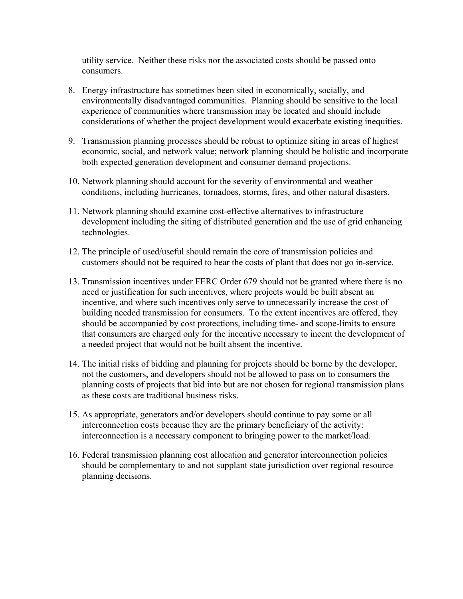utility service. Neither these risks nor the associated costs should be passed onto consumers.

- 8. Energy infrastructure has sometimes been sited in economically, socially, and environmentally disadvantaged communities. Planning should be sensitive to the local experience of communities where transmission may be located and should include considerations of whether the project development would exacerbate existing inequities.
- 9. Transmission planning processes should be robust to optimize siting in areas of highest economic, social, and network value; network planning should be holistic and incorporate both expected generation development and consumer demand projections.
- 10. Network planning should account for the severity of environmental and weather conditions, including hurricanes, tornadoes, storms, fires, and other natural disasters.
- 11. Network planning should examine cost-effective alternatives to infrastructure development including the siting of distributed generation and the use of grid enhancing technologies.
- 12. The principle of used/useful should remain the core of transmission policies and customers should not be required to bear the costs of plant that does not go in-service.
- 13. Transmission incentives under FERC Order 679 should not be granted where there is no need or justification for such incentives, where projects would be built absent an incentive, and where such incentives only serve to unnecessarily increase the cost of building needed transmission for consumers. To the extent incentives are offered, they should be accompanied by cost protections, including time- and scope-limits to ensure that consumers are charged only for the incentive necessary to incent the development of a needed project that would not be built absent the incentive.
- 14. The initial risks of bidding and planning for projects should be borne by the developer, not the customers, and developers should not be allowed to pass on to consumers the planning costs of projects that bid into but are not chosen for regional transmission plans as these costs are traditional business risks.
- 15. As appropriate, generators and/or developers should continue to pay some or all interconnection costs because they are the primary beneficiary of the activity: interconnection is a necessary component to bringing power to the market/load.
- 16. Federal transmission planning cost allocation and generator interconnection policies should be complementary to and not supplant state jurisdiction over regional resource planning decisions.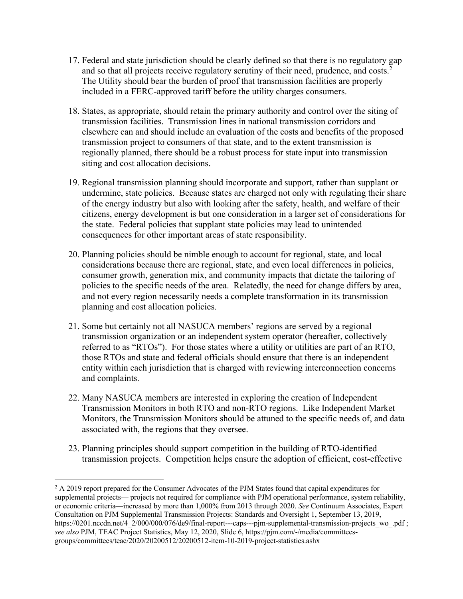- 17. Federal and state jurisdiction should be clearly defined so that there is no regulatory gap and so that all projects receive regulatory scrutiny of their need, prudence, and costs. $2$ The Utility should bear the burden of proof that transmission facilities are properly included in a FERC-approved tariff before the utility charges consumers.
- 18. States, as appropriate, should retain the primary authority and control over the siting of transmission facilities. Transmission lines in national transmission corridors and elsewhere can and should include an evaluation of the costs and benefits of the proposed transmission project to consumers of that state, and to the extent transmission is regionally planned, there should be a robust process for state input into transmission siting and cost allocation decisions.
- 19. Regional transmission planning should incorporate and support, rather than supplant or undermine, state policies. Because states are charged not only with regulating their share of the energy industry but also with looking after the safety, health, and welfare of their citizens, energy development is but one consideration in a larger set of considerations for the state. Federal policies that supplant state policies may lead to unintended consequences for other important areas of state responsibility.
- 20. Planning policies should be nimble enough to account for regional, state, and local considerations because there are regional, state, and even local differences in policies, consumer growth, generation mix, and community impacts that dictate the tailoring of policies to the specific needs of the area. Relatedly, the need for change differs by area, and not every region necessarily needs a complete transformation in its transmission planning and cost allocation policies.
- 21. Some but certainly not all NASUCA members' regions are served by a regional transmission organization or an independent system operator (hereafter, collectively referred to as "RTOs"). For those states where a utility or utilities are part of an RTO, those RTOs and state and federal officials should ensure that there is an independent entity within each jurisdiction that is charged with reviewing interconnection concerns and complaints.
- 22. Many NASUCA members are interested in exploring the creation of Independent Transmission Monitors in both RTO and non-RTO regions. Like Independent Market Monitors, the Transmission Monitors should be attuned to the specific needs of, and data associated with, the regions that they oversee.
- 23. Planning principles should support competition in the building of RTO-identified transmission projects. Competition helps ensure the adoption of efficient, cost-effective

<sup>&</sup>lt;sup>2</sup> A 2019 report prepared for the Consumer Advocates of the PJM States found that capital expenditures for supplemental projects— projects not required for compliance with PJM operational performance, system reliability, or economic criteria—increased by more than 1,000% from 2013 through 2020. *See* Continuum Associates, Expert Consultation on PJM Supplemental Transmission Projects: Standards and Oversight 1, September 13, 2019, https://0201.nccdn.net/4\_2/000/000/076/de9/final-report---caps---pjm-supplemental-transmission-projects\_wo\_.pdf ; *see also* PJM, TEAC Project Statistics, May 12, 2020, Slide 6, https://pjm.com/-/media/committeesgroups/committees/teac/2020/20200512/20200512-item-10-2019-project-statistics.ashx